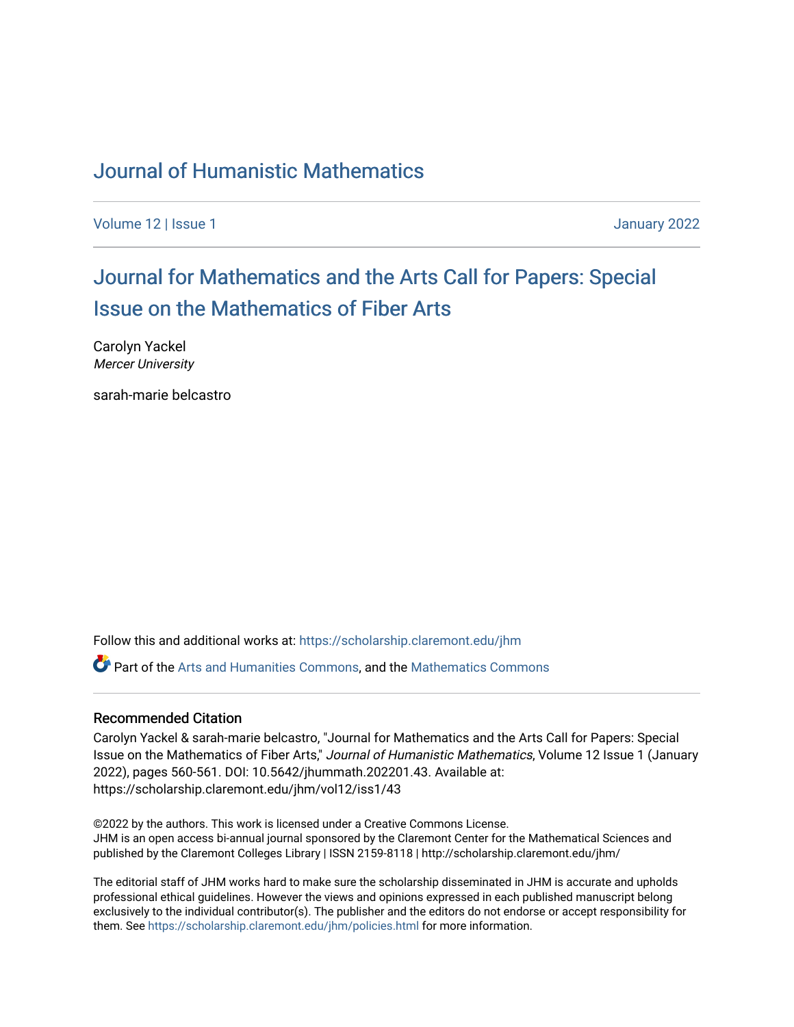### [Journal of Humanistic Mathematics](https://scholarship.claremont.edu/jhm)

[Volume 12](https://scholarship.claremont.edu/jhm/vol12) | Issue 1 January 2022

## [Journal for Mathematics and the Arts Call for Papers: Special](https://scholarship.claremont.edu/jhm/vol12/iss1/43) [Issue on the Mathematics of Fiber Arts](https://scholarship.claremont.edu/jhm/vol12/iss1/43)

Carolyn Yackel Mercer University

sarah-marie belcastro

Follow this and additional works at: [https://scholarship.claremont.edu/jhm](https://scholarship.claremont.edu/jhm?utm_source=scholarship.claremont.edu%2Fjhm%2Fvol12%2Fiss1%2F43&utm_medium=PDF&utm_campaign=PDFCoverPages)

**P** Part of the [Arts and Humanities Commons,](http://network.bepress.com/hgg/discipline/438?utm_source=scholarship.claremont.edu%2Fjhm%2Fvol12%2Fiss1%2F43&utm_medium=PDF&utm_campaign=PDFCoverPages) and the Mathematics Commons

#### Recommended Citation

Carolyn Yackel & sarah-marie belcastro, "Journal for Mathematics and the Arts Call for Papers: Special Issue on the Mathematics of Fiber Arts," Journal of Humanistic Mathematics, Volume 12 Issue 1 (January 2022), pages 560-561. DOI: 10.5642/jhummath.202201.43. Available at: https://scholarship.claremont.edu/jhm/vol12/iss1/43

©2022 by the authors. This work is licensed under a Creative Commons License. JHM is an open access bi-annual journal sponsored by the Claremont Center for the Mathematical Sciences and published by the Claremont Colleges Library | ISSN 2159-8118 | http://scholarship.claremont.edu/jhm/

The editorial staff of JHM works hard to make sure the scholarship disseminated in JHM is accurate and upholds professional ethical guidelines. However the views and opinions expressed in each published manuscript belong exclusively to the individual contributor(s). The publisher and the editors do not endorse or accept responsibility for them. See<https://scholarship.claremont.edu/jhm/policies.html> for more information.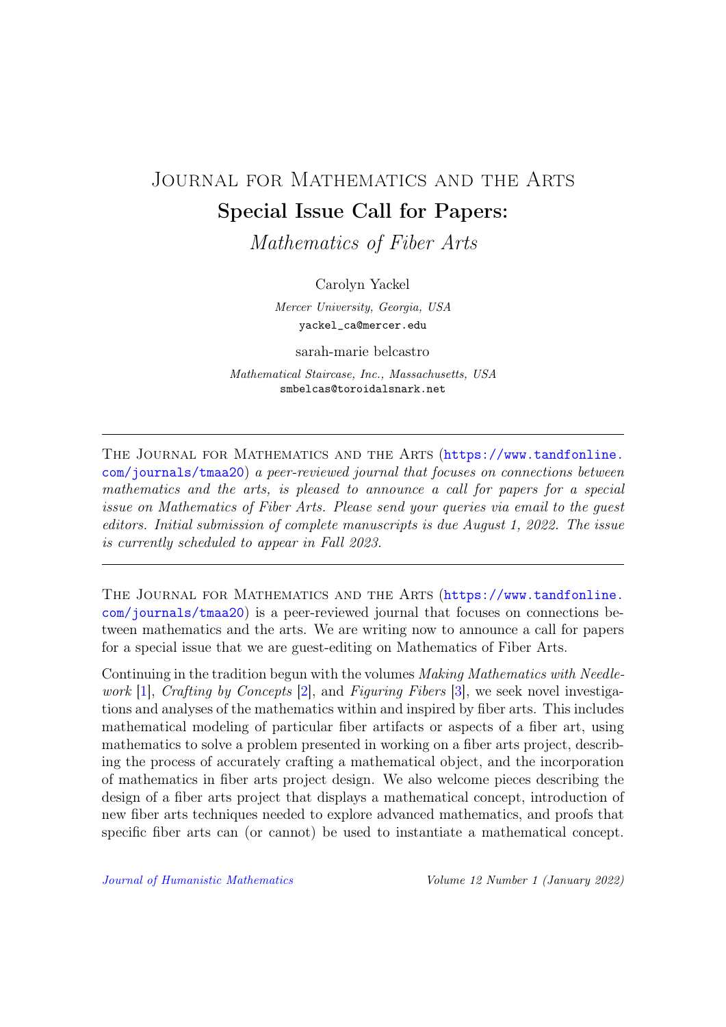# JOURNAL FOR MATHEMATICS AND THE ARTS Special Issue Call for Papers:

Mathematics of Fiber Arts

Carolyn Yackel

Mercer University, Georgia, USA yackel\_ca@mercer.edu

sarah-marie belcastro

Mathematical Staircase, Inc., Massachusetts, USA smbelcas@toroidalsnark.net

The Journal for Mathematics and the Arts ([https://www.tandfonline.](https://www.tandfonline.com/journals/tmaa20) [com/journals/tmaa20](https://www.tandfonline.com/journals/tmaa20)) a peer-reviewed journal that focuses on connections between mathematics and the arts, is pleased to announce a call for papers for a special issue on Mathematics of Fiber Arts. Please send your queries via email to the guest editors. Initial submission of complete manuscripts is due August 1, 2022. The issue is currently scheduled to appear in Fall 2023.

The Journal for Mathematics and the Arts ([https://www.tandfonline.](https://www.tandfonline.com/journals/tmaa20) [com/journals/tmaa20](https://www.tandfonline.com/journals/tmaa20)) is a peer-reviewed journal that focuses on connections between mathematics and the arts. We are writing now to announce a call for papers for a special issue that we are guest-editing on Mathematics of Fiber Arts.

Continuing in the tradition begun with the volumes *Making Mathematics with Needle*-work [\[1\]](#page-2-0), Crafting by Concepts [\[2\]](#page-2-1), and Figuring Fibers [\[3\]](#page-2-2), we seek novel investigations and analyses of the mathematics within and inspired by fiber arts. This includes mathematical modeling of particular fiber artifacts or aspects of a fiber art, using mathematics to solve a problem presented in working on a fiber arts project, describing the process of accurately crafting a mathematical object, and the incorporation of mathematics in fiber arts project design. We also welcome pieces describing the design of a fiber arts project that displays a mathematical concept, introduction of new fiber arts techniques needed to explore advanced mathematics, and proofs that specific fiber arts can (or cannot) be used to instantiate a mathematical concept.

[Journal of Humanistic Mathematics](http://scholarship.claremont.edu/jhm/) Volume 12 Number 1 (January 2022)